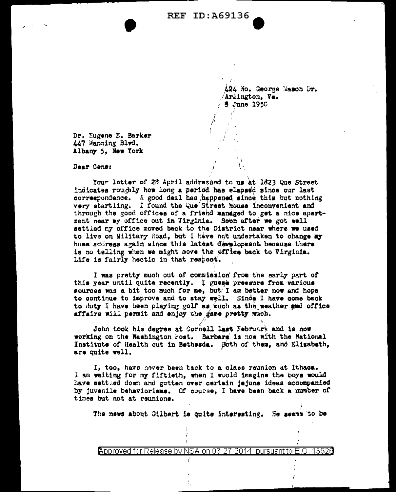**REF ID:A69136** 

424 No. George Mason Dr. /Arlington, Va.  $/$  3 June 1950

Dr. Eugene E. Barker 447 Manning Blvd. Albany 5, New York

Dear Gene:

Your letter of 23 April addressed to us at 1823 Que Street indicates roughly how long a period has elapsed since our last correspondence. A good deal has happened since this but nothing very startling. I found the Que Street Nouse inconvenient and through the good offices of a friend managed to get a nice apartment near my office out in Virginia. Soon after we got well settled my office moved back to the District near where we used to live on Military Road, but I have not undertaken to change my home address again since this latest development because there is no telling when we might move the office back to Virginia. Life is fairly hectic in that respect.

I was pretty much out of commission from the early part of this year until quite recently. I guest pressure from various sources was a bit too much for me, but I am better now and hope to continue to improve and to stay well. Since I have come back to duty I have been playing golf as much as the weather and office affairs will permit and enjoy the game pretty much.

John took his degree at Cornell last February and is now working on the Washington Post. Barbara is now with the National Institute of Health out in Bethesda. Both of them, and Elizabeth, are quite well.

I, too, have never been back to a class reunion at Ithaca. I am waiting for my fiftieth, when I would imagine the boys would have settled down and gotten over certain jejune ideas accompanied by juvenile behaviorisms. Of course, I have been back a number of times but not at reunions.

The news about Gilbert is quite interesting. He seems to be

Approved for Release by NSA on 03-27-2014 pursuant to E.O. 13526